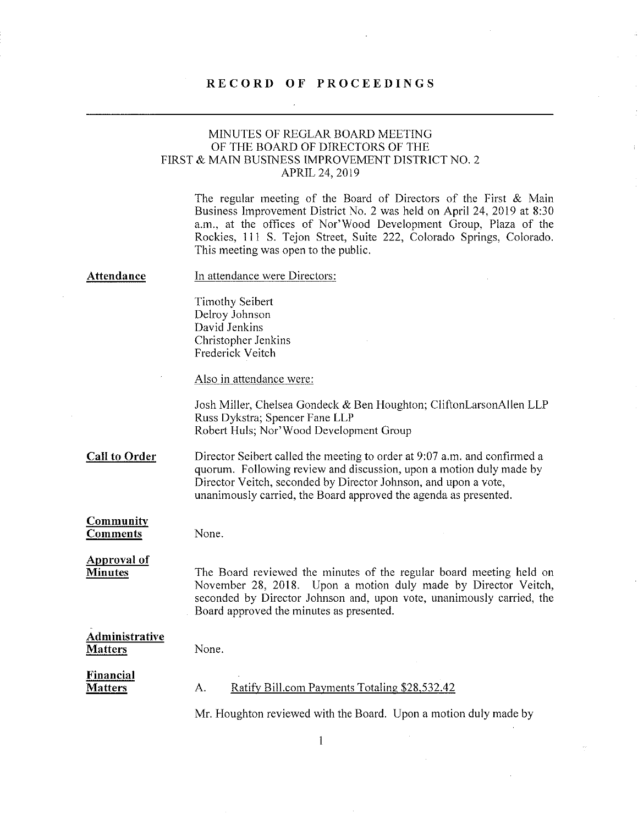## RECORD OF PROCEEDINGS

## MINUTES OF REGLAR BOARD MEETING OF THE BOARD OF DIRECTORS OF THE FIRST & MAIN BUSINESS IMPROVEMENT DISTRICT NO. 2 APRIL 24, 2019

The regular meeting of the Board of Directors of the First & Main Business Improvement District No. 2 was held on April 24, 2019 at 8:30 a.m., at the offices of Nor'Wood Development Group, Plaza of the Rockies, Ill S. Tejon Street, Suite 222, Colorado Springs, Colorado. This meeting was open to the public.

### Attendance

### In attendance were Directors:

Timothy Seibert Delroy Johnson David Jenkins Christopher Jenkins Frederick Veitch

Also in attendance were:

Josh Miller, Chelsea Gondeck & Ben Houghton; CliftonLarsonAllen LLP Russ Dykstra; Spencer Fane LLP Robert Huls; Nor' Wood Development Group

Call to Order Director Seibert called the meeting to order at 9:07 a.m. and confirmed a quorum. Following review and discussion, upon a motion duly made by Director Veitch, seconded by Director Johnson, and upon a vote, unanimously carried, the Board approved the agenda as presented.

### **Community** Comments

None.

### Approval of **Minutes**

The Board reviewed the minutes of the regular board meeting held on November 28, 2018. Upon a motion duly made by Director Veitch, seconded by Director Johnson and, upon vote, unanimously carried, the Board approved the minutes as presented.

Administrative **Matters** 

#### None.

### Financial **Matters**

# A. Ratify Bill.com Payments Totaling \$28,532.42

Mr. Houghton reviewed with the Board. Upon a motion duly made by

 $\mathbf{1}$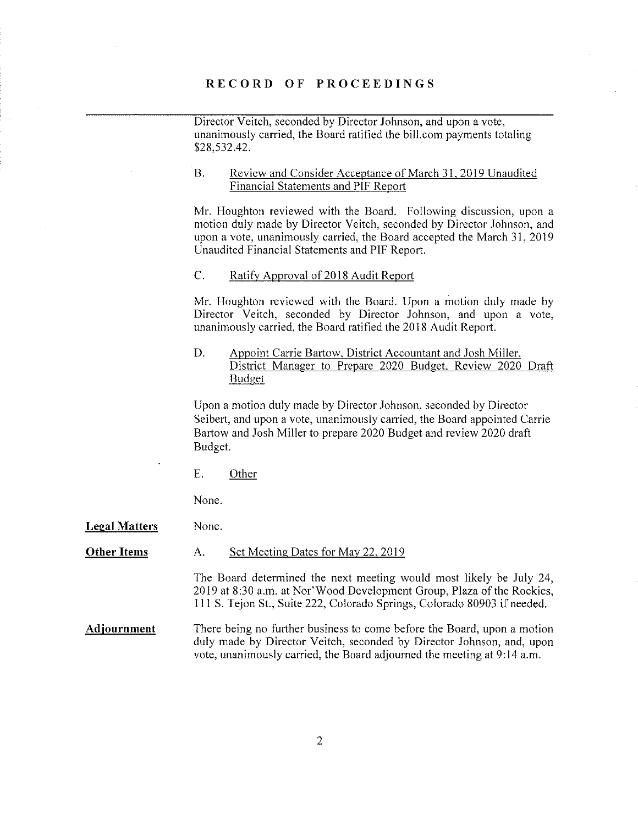### RECORD OF PROCEEDINGS

Director Veitch, seconded by Director Johnson, and upon a vote, unanimously carried, the Board ratified the bill.com payments totaling \$28,532.42.

#### $B<sub>1</sub>$ Review and Consider Acceptance of March 31, 2019 Unaudited **Financial Statements and PIF Report**

Mr. Houghton reviewed with the Board. Following discussion, upon a motion duly made by Director Veitch, seconded by Director Johnson, and upon a vote, unanimously carried, the Board accepted the March 31, 2019 Unaudited Financial Statements and PIF Report.

# C. Ratify Approval of 2018 Audit Report

Mr. Houghton reviewed with the Board. Upon a motion duly made by Director Veitch, seconded by Director Johnson, and upon a vote, unanimously carried, the Board ratified the 2018 Audit Report.

### D. Appoint Carrie Bartow, District Accountant and Josh Miller, District Manager to Prepare 2020 Budget, Review 2020 Draft Budget

Upon a motion duly made by Director Johnson, seconded by Director Seibert, and upon a vote, unanimously carried, the Board appointed Carrie Bartow and Josh Miller to prepare 2020 Budget and review 2020 draft Budget.

E. Other

None.

Legal Matters None.

### **Other Items** A. Set Meeting Dates for May 22, 2019

The Board determined the next meeting would most likely be July 24, 2019 at 8:30 a.m. at Nor'Wood Development Group, Plaza of the Rockies, 1 11 5. Tejon St., Suite 222, Colorado Springs, Colorado 80903 if needed.

Adjournment There being no further business to come before the Board, upon a motion duly made by Director Veitch, seconded by Director Johnson, and, upon vote, unanimously carried, the Board adjourned the meeting at 9:14 a.m.